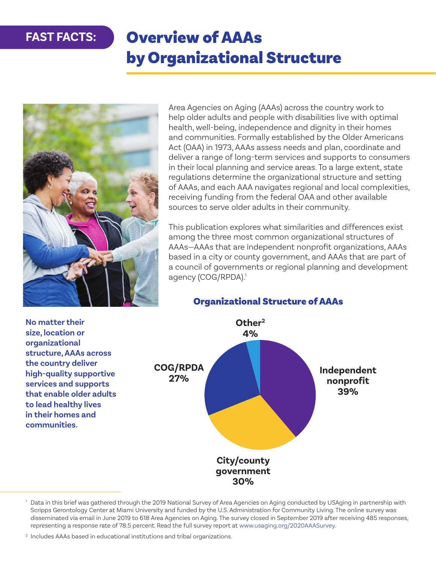# Overview of AAAs by Organizational Structure



Area Agencies on Aging (AAAs) across the country work to help older adults and people with disabilities live with optimal health, well-being, independence and dignity in their homes and communities. Formally established by the Older Americans Act (OAA) in 1973, AAAs assess needs and plan, coordinate and deliver a range of long-term services and supports to consumers in their local planning and service areas. To a large extent, state regulations determine the organizational structure and setting of AAAs, and each AAA navigates regional and local complexities, receiving funding from the federal OAA and other available sources to serve older adults in their community.

This publication explores what similarities and differences exist among the three most common organizational structures of AAAs—AAAs that are independent nonprofit organizations, AAAs based in a city or county government, and AAAs that are part of a council of governments or regional planning and development agency (COG/RPDA).<sup>1</sup>

**No matter their size, location or organizational structure, AAAs across the country deliver high-quality supportive services and supports that enable older adults to lead healthy lives in their homes and communities. COG/RPDA 27%**

## Organizational Structure of AAAs



<sup>&</sup>lt;sup>1</sup> Data in this brief was gathered through the 2019 National Survey of Area Agencies on Aging conducted by USAging in partnership with Scripps Gerontology Center at Miami University and funded by the U.S. Administration for Community Living. The online survey was disseminated via email in June 2019 to 618 Area Agencies on Aging. The survey closed in September 2019 after receiving 485 responses, representing a response rate of 78.5 percent. Read the full survey report at [www.usaging.org/2020AAASurvey](http://www.usaging.org/2020AAASurvey).

<sup>&</sup>lt;sup>2</sup> Includes AAAs based in educational institutions and tribal organizations.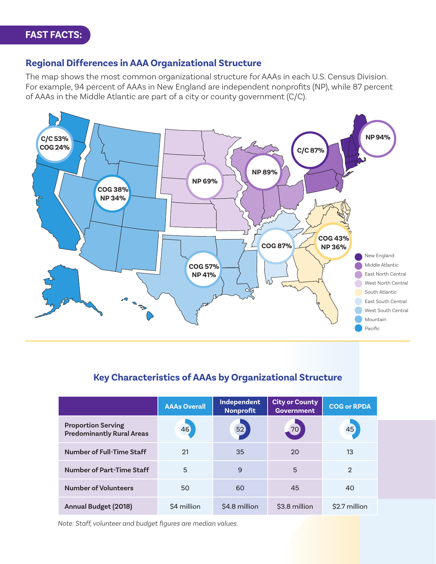#### **Regional Differences in AAA Organizational Structure**

The map shows the most common organizational structure for AAAs in each U.S. Census Division. For example, 94 percent of AAAs in New England are independent nonprofits (NP), while 87 percent of AAAs in the Middle Atlantic are part of a city or county government (C/C).



## **Key Characteristics of AAAs by Organizational Structure**

|                                                               | <b>AAAs Overall</b> | Independent<br>Nonprofit | <b>City or County</b><br><b>Government</b> | <b>COG or RPDA</b> |
|---------------------------------------------------------------|---------------------|--------------------------|--------------------------------------------|--------------------|
| <b>Proportion Serving</b><br><b>Predominantly Rural Areas</b> | 46                  | 52                       | 70                                         | 45                 |
| Number of Full-Time Staff                                     | 21                  | 35                       | 20                                         | 13                 |
| <b>Number of Part-Time Staff</b>                              | 5                   | 9                        | 5                                          | $\mathcal{D}$      |
| <b>Number of Volunteers</b>                                   | 50                  | 60                       | 45                                         | 40                 |
| <b>Annual Budget (2018)</b>                                   | \$4 million         | \$4.8 million            | \$3.8 million                              | \$2.7 million      |

*Note: Staff, volunteer and budget figures are median values.*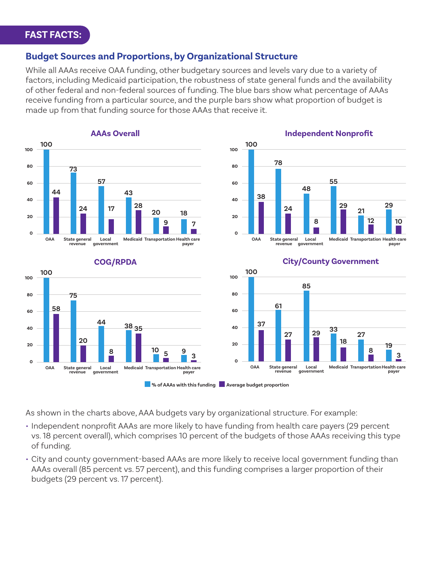#### **Budget Sources and Proportions, by Organizational Structure**

While all AAAs receive OAA funding, other budgetary sources and levels vary due to a variety of factors, including Medicaid participation, the robustness of state general funds and the availability of other federal and non-federal sources of funding. The blue bars show what percentage of AAAs receive funding from a particular source, and the purple bars show what proportion of budget is made up from that funding source for those AAAs that receive it.





#### **COG/RPDA**



#### **City/County Government**



#### **M**% of AAAs with this funding **Average budget proportion**

As shown in the charts above, AAA budgets vary by organizational structure. For example:

- Independent nonprofit AAAs are more likely to have funding from health care payers (29 percent vs. 18 percent overall), which comprises 10 percent of the budgets of those AAAs receiving this type of funding.
- City and county government-based AAAs are more likely to receive local government funding than AAAs overall (85 percent vs. 57 percent), and this funding comprises a larger proportion of their budgets (29 percent vs. 17 percent).